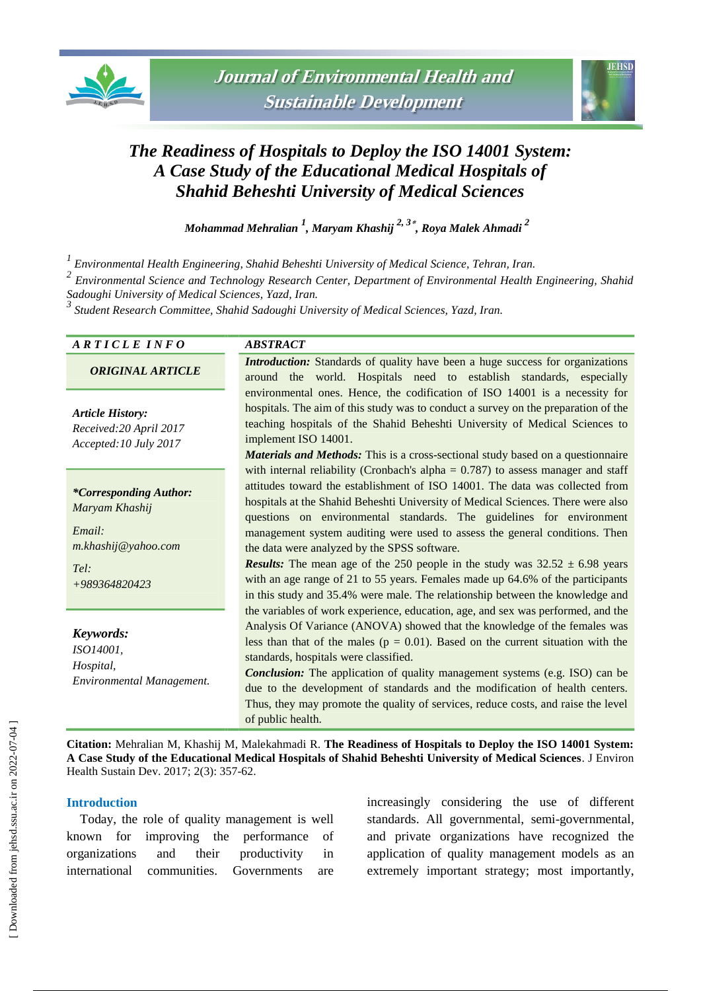



# *The Readiness of Hospitals to Deploy the ISO 14001 System: A Case Study of the Educational Medical Hospitals of Shahid Beheshti University of Medical Sciences*

*Mohammad Mehralian <sup>1</sup> , Maryam Khashij 2, 3 , Roya Malek Ahmadi <sup>2</sup>*

*1 Environmental Health Engineering, Shahid Beheshti University of Medical Science, Tehran, Iran.*

*2 Environmental Science and Technology Research Center, Department of Environmental Health Engineering, Shahid Sadoughi University of Medical Sciences, Yazd, Iran.*

*3 Student Research Committee, Shahid Sadoughi University of Medical Sciences, Yazd, Iran.*

| ARTICLE INFO                                                                                              | <b>ABSTRACT</b>                                                                                                                                                                                                                                                                                                                                                                                                                                                                                                                                                                                                                                                                                                             |  |  |  |  |  |
|-----------------------------------------------------------------------------------------------------------|-----------------------------------------------------------------------------------------------------------------------------------------------------------------------------------------------------------------------------------------------------------------------------------------------------------------------------------------------------------------------------------------------------------------------------------------------------------------------------------------------------------------------------------------------------------------------------------------------------------------------------------------------------------------------------------------------------------------------------|--|--|--|--|--|
| <b>ORIGINAL ARTICLE</b>                                                                                   | <b>Introduction:</b> Standards of quality have been a huge success for organizations<br>around the world. Hospitals need to establish standards, especially                                                                                                                                                                                                                                                                                                                                                                                                                                                                                                                                                                 |  |  |  |  |  |
| <b>Article History:</b><br>Received:20 April 2017<br>Accepted: 10 July 2017                               | environmental ones. Hence, the codification of ISO 14001 is a necessity for<br>hospitals. The aim of this study was to conduct a survey on the preparation of the<br>teaching hospitals of the Shahid Beheshti University of Medical Sciences to<br>implement ISO 14001.<br><b>Materials and Methods:</b> This is a cross-sectional study based on a questionnaire                                                                                                                                                                                                                                                                                                                                                          |  |  |  |  |  |
| <i>*Corresponding Author:</i><br>Maryam Khashij<br>Email:<br>m.khashij@yahoo.com<br>Tel:<br>+989364820423 | with internal reliability (Cronbach's alpha = $0.787$ ) to assess manager and staff<br>attitudes toward the establishment of ISO 14001. The data was collected from<br>hospitals at the Shahid Beheshti University of Medical Sciences. There were also<br>questions on environmental standards. The guidelines for environment<br>management system auditing were used to assess the general conditions. Then<br>the data were analyzed by the SPSS software.<br><b>Results:</b> The mean age of the 250 people in the study was $32.52 \pm 6.98$ years<br>with an age range of 21 to 55 years. Females made up 64.6% of the participants<br>in this study and 35.4% were male. The relationship between the knowledge and |  |  |  |  |  |
| Keywords:<br>ISO14001,<br>Hospital,<br>Environmental Management.                                          | the variables of work experience, education, age, and sex was performed, and the<br>Analysis Of Variance (ANOVA) showed that the knowledge of the females was<br>less than that of the males ( $p = 0.01$ ). Based on the current situation with the<br>standards, hospitals were classified.<br><b>Conclusion:</b> The application of quality management systems (e.g. ISO) can be<br>due to the development of standards and the modification of health centers.<br>Thus, they may promote the quality of services, reduce costs, and raise the level<br>of public health.                                                                                                                                                |  |  |  |  |  |

**Citation:** Mehralian M, Khashij M, Malekahmadi R. **The Readiness of Hospitals to Deploy the ISO 14001 System: A Case Study of the Educational Medical Hospitals of Shahid Beheshti University of Medical Sciences**. J Environ Health Sustain Dev. 2017; 2(3): 357-62.

#### **Introduction**

Today, the role of quality management is well known for improving the performance of organizations and their productivity in international communities. Governments are increasingly considering the use of different standards. All governmental, semi-governmental, and private organizations have recognized the application of quality management models as an extremely important strategy; most importantly,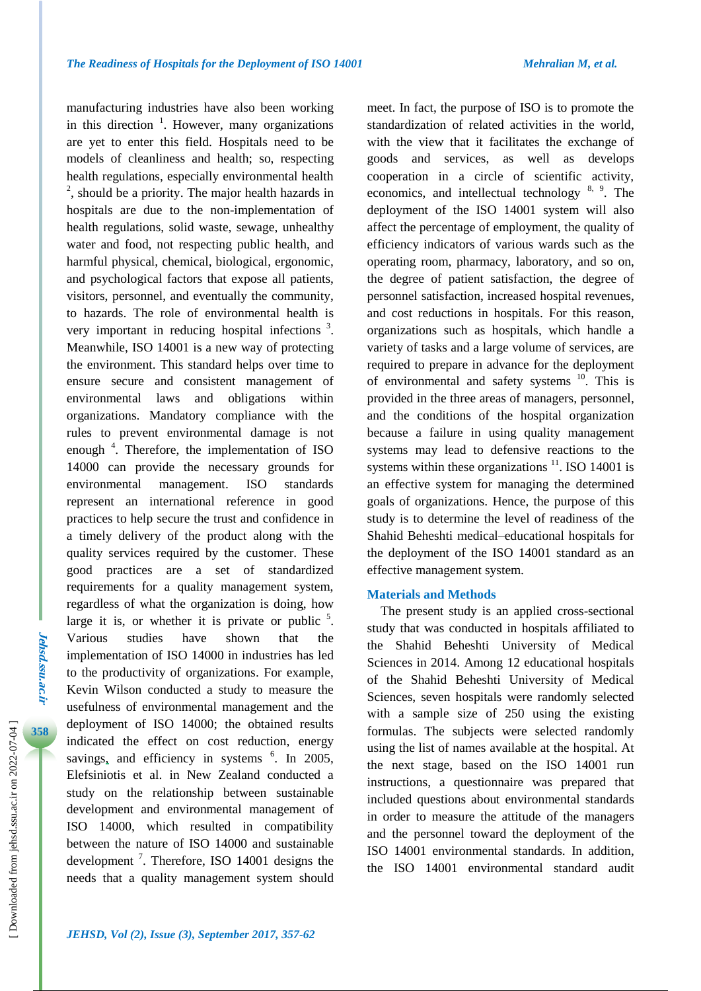manufacturing industries have also been working in this direction  $\frac{1}{1}$ . However, many organizations are yet to enter this field. Hospitals need to be models of cleanliness and health; so, respecting health regulations, especially environmental health <sup>2</sup>, should be a priority. The major health hazards in hospitals are due to the non-implementation of health regulations, solid waste, sewage, unhealthy water and food, not respecting public health, and harmful physical, chemical, biological, ergonomic, and psychological factors that expose all patients, visitors, personnel, and eventually the community, to hazards. The role of environmental health is very important in reducing hospital infections<sup>3</sup>. Meanwhile, ISO 14001 is a new way of protecting the environment. This standard helps over time to ensure secure and consistent management of environmental laws and obligations within organizations. Mandatory compliance with the rules to prevent environmental damage is not enough <sup>4</sup>. Therefore, the implementation of ISO 14000 can provide the necessary grounds for environmental management. ISO standards represent an international reference in good practices to help secure the trust and confidence in a timely delivery of the product along with the quality services required by the customer. These good practices are a set of standardized requirements for a quality management system, regardless of what the organization is doing, how large it is, or whether it is private or public  $5$ . Various studies have shown that the implementation of ISO 14000 in industries has led to the productivity of organizations. For example, Kevin Wilson conducted a study to measure the usefulness of environmental management and the deployment of ISO 14000; the obtained results indicated the effect on cost reduction, energy savings, and efficiency in systems  $6$ . In 2005, Elefsiniotis et al. in New Zealand conducted a study on the relationship between sustainable development and environmental management of ISO 14000, which resulted in compatibility between the nature of ISO 14000 and sustainable development<sup>7</sup>. Therefore, ISO 14001 designs the needs that a quality management system should

meet. In fact, the purpose of ISO is to promote the standardization of related activities in the world, with the view that it facilitates the exchange of goods and services, as well as develops cooperation in a circle of scientific activity, economics, and intellectual technology <sup>8, 9</sup>. The deployment of the ISO 14001 system will also affect the percentage of employment, the quality of efficiency indicators of various wards such as the operating room, pharmacy, laboratory, and so on, the degree of patient satisfaction, the degree of personnel satisfaction, increased hospital revenues, and cost reductions in hospitals. For this reason, organizations such as hospitals, which handle a variety of tasks and a large volume of services, are required to prepare in advance for the deployment of environmental and safety systems <sup>10</sup>. This is provided in the three areas of managers, personnel, and the conditions of the hospital organization because a failure in using quality management systems may lead to defensive reactions to the systems within these organizations  $\frac{11}{1}$ . ISO 14001 is an effective system for managing the determined goals of organizations. Hence, the purpose of this study is to determine the level of readiness of the Shahid Beheshti medical–educational hospitals for the deployment of the ISO 14001 standard as an effective management system.

#### **Materials and Methods**

The present study is an applied cross-sectional study that was conducted in hospitals affiliated to the Shahid Beheshti University of Medical Sciences in 2014. Among 12 educational hospitals of the Shahid Beheshti University of Medical Sciences, seven hospitals were randomly selected with a sample size of 250 using the existing formulas. The subjects were selected randomly using the list of names available at the hospital. At the next stage, based on the ISO 14001 run instructions, a questionnaire was prepared that included questions about environmental standards in order to measure the attitude of the managers and the personnel toward the deployment of the ISO 14001 environmental standards. In addition, the ISO 14001 environmental standard audit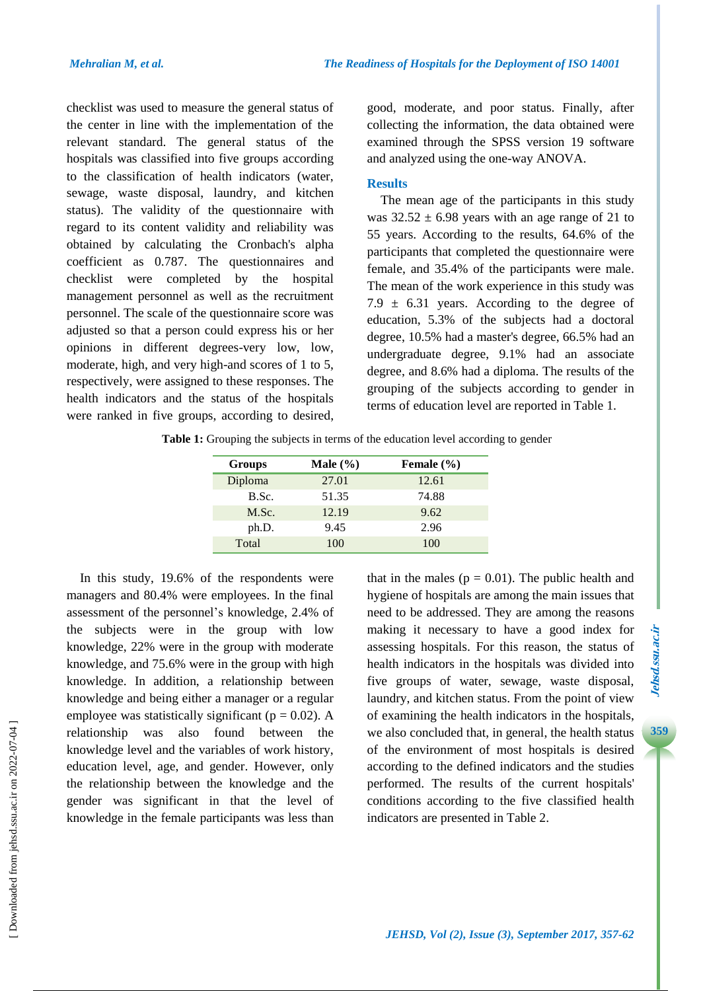checklist was used to measure the general status of the center in line with the implementation of the relevant standard. The general status of the hospitals was classified into five groups according to the classification of health indicators (water, sewage, waste disposal, laundry, and kitchen status). The validity of the questionnaire with regard to its content validity and reliability was obtained by calculating the Cronbach's alpha coefficient as 0.787. The questionnaires and checklist were completed by the hospital management personnel as well as the recruitment personnel. The scale of the questionnaire score was adjusted so that a person could express his or her opinions in different degrees-very low, low, moderate, high, and very high-and scores of 1 to 5, respectively, were assigned to these responses. The health indicators and the status of the hospitals were ranked in five groups, according to desired, good, moderate, and poor status. Finally, after collecting the information, the data obtained were examined through the SPSS version 19 software and analyzed using the one-way ANOVA.

## **Results**

The mean age of the participants in this study was  $32.52 \pm 6.98$  years with an age range of 21 to 55 years. According to the results, 64.6% of the participants that completed the questionnaire were female, and 35.4% of the participants were male. The mean of the work experience in this study was 7.9  $\pm$  6.31 years. According to the degree of education, 5.3% of the subjects had a doctoral degree, 10.5% had a master's degree, 66.5% had an undergraduate degree, 9.1% had an associate degree, and 8.6% had a diploma. The results of the grouping of the subjects according to gender in terms of education level are reported in Table 1.

**Table 1:** Grouping the subjects in terms of the education level according to gender

| Groups  | Male $(\% )$ | Female $(\% )$ |
|---------|--------------|----------------|
| Diploma | 27.01        | 12.61          |
| B.Sc.   | 51.35        | 74.88          |
| M.Sc.   | 12.19        | 9.62           |
| ph.D.   | 9.45         | 2.96           |
| Total   | 100          | 100            |

In this study, 19.6% of the respondents were managers and 80.4% were employees. In the final assessment of the personnel's knowledge, 2.4% of the subjects were in the group with low knowledge, 22% were in the group with moderate knowledge, and 75.6% were in the group with high knowledge. In addition, a relationship between knowledge and being either a manager or a regular employee was statistically significant ( $p = 0.02$ ). A relationship was also found between the knowledge level and the variables of work history, education level, age, and gender. However, only the relationship between the knowledge and the gender was significant in that the level of knowledge in the female participants was less than that in the males ( $p = 0.01$ ). The public health and hygiene of hospitals are among the main issues that need to be addressed. They are among the reasons making it necessary to have a good index for assessing hospitals. For this reason, the status of health indicators in the hospitals was divided into five groups of water, sewage, waste disposal, laundry, and kitchen status. From the point of view of examining the health indicators in the hospitals, we also concluded that, in general, the health status of the environment of most hospitals is desired according to the defined indicators and the studies performed. The results of the current hospitals' conditions according to the five classified health indicators are presented in Table 2.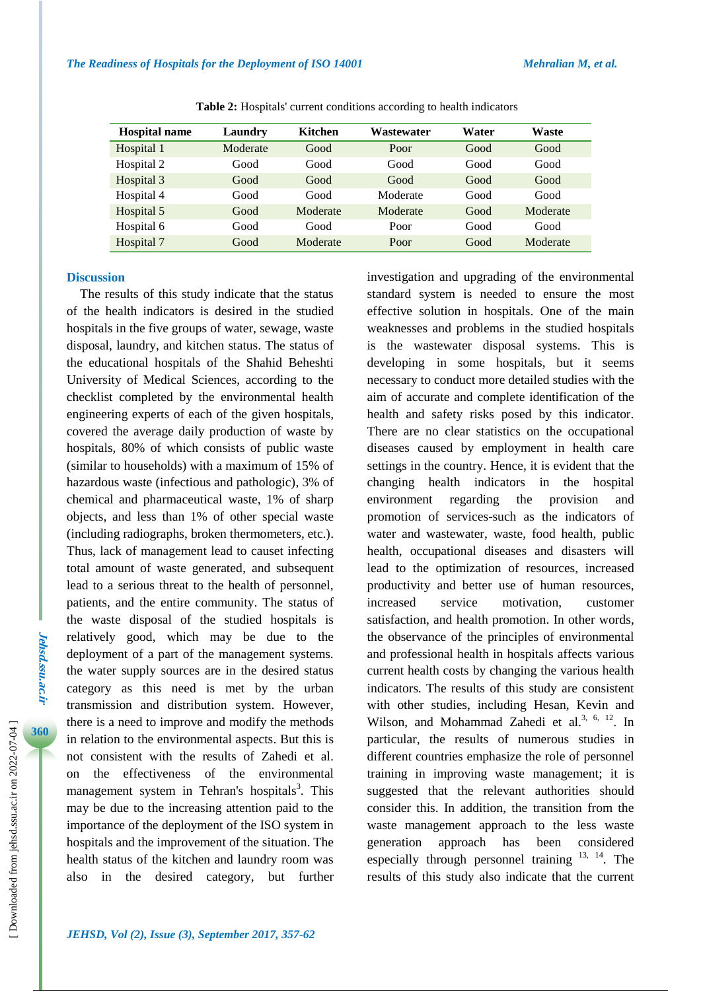| <b>Hospital name</b> | Laundry  | Kitchen  | Wastewater | Water | Waste    |
|----------------------|----------|----------|------------|-------|----------|
| Hospital 1           | Moderate | Good     | Poor       | Good  | Good     |
| Hospital 2           | Good     | Good     | Good       | Good  | Good     |
| Hospital 3           | Good     | Good     | Good       | Good  | Good     |
| Hospital 4           | Good     | Good     | Moderate   | Good  | Good     |
| Hospital 5           | Good     | Moderate | Moderate   | Good  | Moderate |
| Hospital 6           | Good     | Good     | Poor       | Good  | Good     |
| Hospital 7           | Good     | Moderate | Poor       | Good  | Moderate |

**Table 2:** Hospitals' current conditions according to health indicators

## **Discussion**

The results of this study indicate that the status of the health indicators is desired in the studied hospitals in the five groups of water, sewage, waste disposal, laundry, and kitchen status. The status of the educational hospitals of the Shahid Beheshti University of Medical Sciences, according to the checklist completed by the environmental health engineering experts of each of the given hospitals, covered the average daily production of waste by hospitals, 80% of which consists of public waste (similar to households) with a maximum of 15% of hazardous waste (infectious and pathologic), 3% of chemical and pharmaceutical waste, 1% of sharp objects, and less than 1% of other special waste (including radiographs, broken thermometers, etc.). Thus, lack of management lead to causet infecting total amount of waste generated, and subsequent lead to a serious threat to the health of personnel, patients, and the entire community. The status of the waste disposal of the studied hospitals is relatively good, which may be due to the deployment of a part of the management systems. the water supply sources are in the desired status category as this need is met by the urban transmission and distribution system. However, there is a need to improve and modify the methods in relation to the environmental aspects. But this is not consistent with the results of Zahedi et al. on the effectiveness of the environmental management system in Tehran's hospitals<sup>3</sup>. This may be due to the increasing attention paid to the importance of the deployment of the ISO system in hospitals and the improvement of the situation. The health status of the kitchen and laundry room was also in the desired category, but further

investigation and upgrading of the environmental standard system is needed to ensure the most effective solution in hospitals. One of the main weaknesses and problems in the studied hospitals is the wastewater disposal systems. This is developing in some hospitals, but it seems necessary to conduct more detailed studies with the aim of accurate and complete identification of the health and safety risks posed by this indicator. There are no clear statistics on the occupational diseases caused by employment in health care settings in the country. Hence, it is evident that the changing health indicators in the hospital environment regarding the provision and promotion of services-such as the indicators of water and wastewater, waste, food health, public health, occupational diseases and disasters will lead to the optimization of resources, increased productivity and better use of human resources, increased service motivation customer satisfaction, and health promotion. In other words, the observance of the principles of environmental and professional health in hospitals affects various current health costs by changing the various health indicators. The results of this study are consistent with other studies, including Hesan, Kevin and Wilson, and Mohammad Zahedi et al.<sup>3, 6, 12</sup>. In particular, the results of numerous studies in different countries emphasize the role of personnel training in improving waste management; it is suggested that the relevant authorities should consider this. In addition, the transition from the waste management approach to the less waste generation approach has been considered especially through personnel training <sup>13, 14</sup>. The results of this study also indicate that the current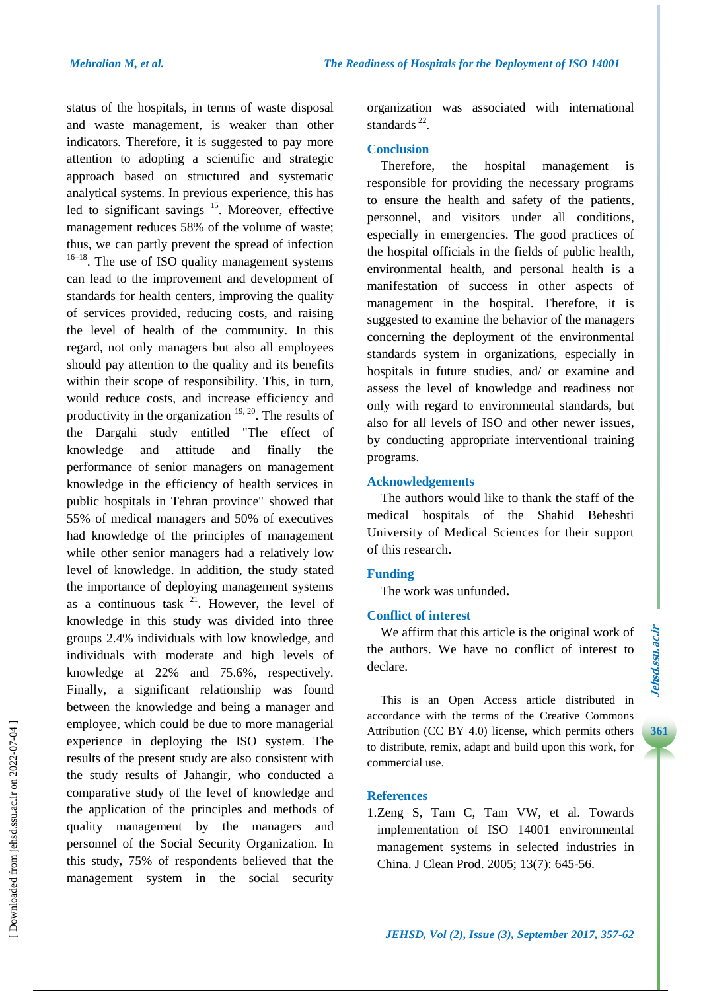status of the hospitals, in terms of waste disposal and waste management, is weaker than other indicators. Therefore, it is suggested to pay more attention to adopting a scientific and strategic approach based on structured and systematic analytical systems. In previous experience, this has led to significant savings <sup>15</sup>. Moreover, effective management reduces 58% of the volume of waste; thus, we can partly prevent the spread of infection  $16-18$ . The use of ISO quality management systems can lead to the improvement and development of standards for health centers, improving the quality of services provided, reducing costs, and raising the level of health of the community. In this regard, not only managers but also all employees should pay attention to the quality and its benefits within their scope of responsibility. This, in turn, would reduce costs, and increase efficiency and productivity in the organization  $19, 20$ . The results of the Dargahi study entitled "The effect of knowledge and attitude and finally the performance of senior managers on management knowledge in the efficiency of health services in public hospitals in Tehran province" showed that 55% of medical managers and 50% of executives had knowledge of the principles of management while other senior managers had a relatively low level of knowledge. In addition, the study stated the importance of deploying management systems as a continuous task  $2^1$ . However, the level of knowledge in this study was divided into three groups 2.4% individuals with low knowledge, and individuals with moderate and high levels of knowledge at 22% and 75.6%, respectively. Finally, a significant relationship was found between the knowledge and being a manager and employee, which could be due to more managerial experience in deploying the ISO system. The results of the present study are also consistent with the study results of Jahangir, who conducted a comparative study of the level of knowledge and the application of the principles and methods of quality management by the managers and personnel of the Social Security Organization. In this study, 75% of respondents believed that the management system in the social security

organization was associated with international standards  $^{22}$ .

### **Conclusion**

Therefore, the hospital management is responsible for providing the necessary programs to ensure the health and safety of the patients, personnel, and visitors under all conditions, especially in emergencies. The good practices of the hospital officials in the fields of public health, environmental health, and personal health is a manifestation of success in other aspects of management in the hospital. Therefore, it is suggested to examine the behavior of the managers concerning the deployment of the environmental standards system in organizations, especially in hospitals in future studies, and/ or examine and assess the level of knowledge and readiness not only with regard to environmental standards, but also for all levels of ISO and other newer issues, by conducting appropriate interventional training programs.

# **Acknowledgements**

The authors would like to thank the staff of the medical hospitals of the Shahid Beheshti University of Medical Sciences for their support of this research**.**

## **Funding**

The work was unfunded**.**

## **Conflict of interest**

We affirm that this article is the original work of the authors. We have no conflict of interest to declare.

This is an Open Access article distributed in accordance with the terms of the Creative Commons Attribution (CC BY 4.0) license, which permits others to distribute, remix, adapt and build upon this work, for commercial use.

## **References**

1.Zeng S, Tam C, Tam VW, et al. Towards implementation of ISO 14001 environmental management systems in selected industries in China. J Clean Prod. 2005; 13(7): 645-56.

**3 361**